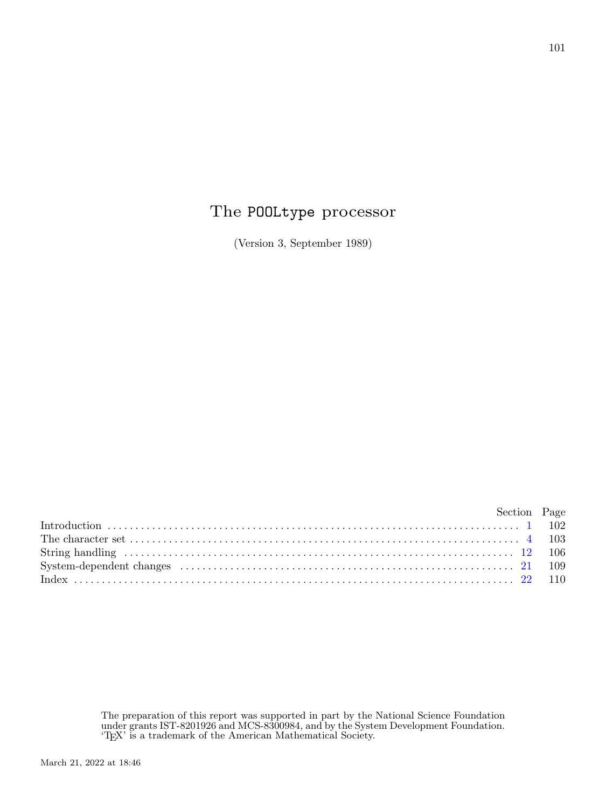## The POOLtype processor

(Version 3, September 1989)

| Section Page |  |
|--------------|--|
|              |  |
|              |  |
|              |  |
|              |  |
|              |  |

The preparation of this report was supported in part by the National Science Foundation under grants IST-8201926 and MCS-8300984, and by the System Development Foundation. 'TEX' is a trademark of the American Mathematical Society.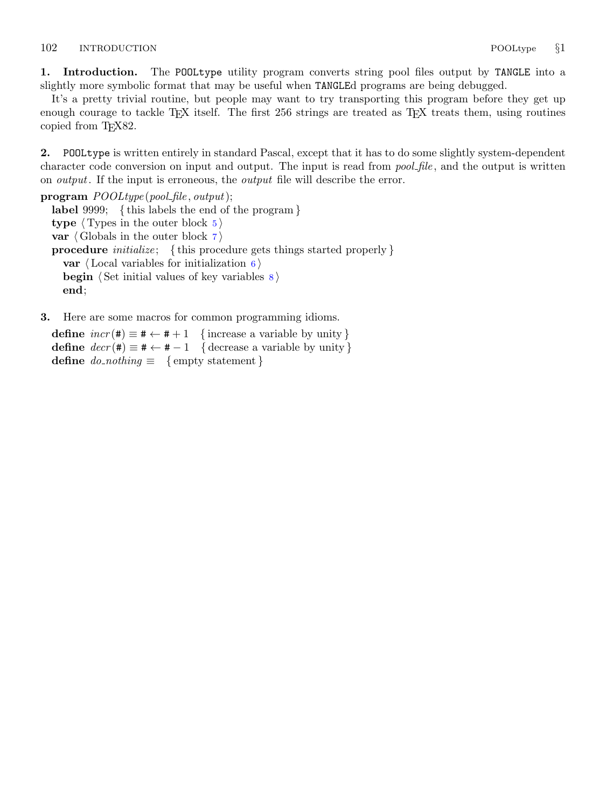<span id="page-1-0"></span>1. Introduction. The POOLtype utility program converts string pool files output by TANGLE into a slightly more symbolic format that may be useful when TANGLEd programs are being debugged.

It's a pretty trivial routine, but people may want to try transporting this program before they get up enough courage to tackle T<sub>E</sub>X itself. The first  $256$  strings are treated as T<sub>E</sub>X treats them, using routines copied from T<sub>E</sub>X82.

2. POOLtype is written entirely in standard Pascal, except that it has to do some slightly system-dependent character code conversion on input and output. The input is read from *pool-file*, and the output is written on *output*. If the input is erroneous, the *output* file will describe the error.

program  $\textit{POOLtype}\left(\textit{pool_file}, \textit{output}\right);$ label 9999; { this labels the end of the program } type  $\langle$  Types in the outer block [5](#page-2-0) $\rangle$ var  $\langle$  Globals in the outer block  $\langle$   $\rangle$ **procedure** *initialize*; {this procedure gets things started properly } var  $\langle$  Local variables for initialization [6](#page-2-0) $\rangle$ **begin**  $\langle$  Set initial values of key variables  $\langle$ end;

3. Here are some macros for common programming idioms.

define  $incr(\texttt{\#}) \equiv \texttt{\#} \leftarrow \texttt{\#} + 1$  {increase a variable by unity} define  $decr(\texttt{\#}) \equiv \texttt{\#} \leftarrow \texttt{\#} - 1$  { decrease a variable by unity } define  $do\_nothing \equiv \{$  empty statement  $\}$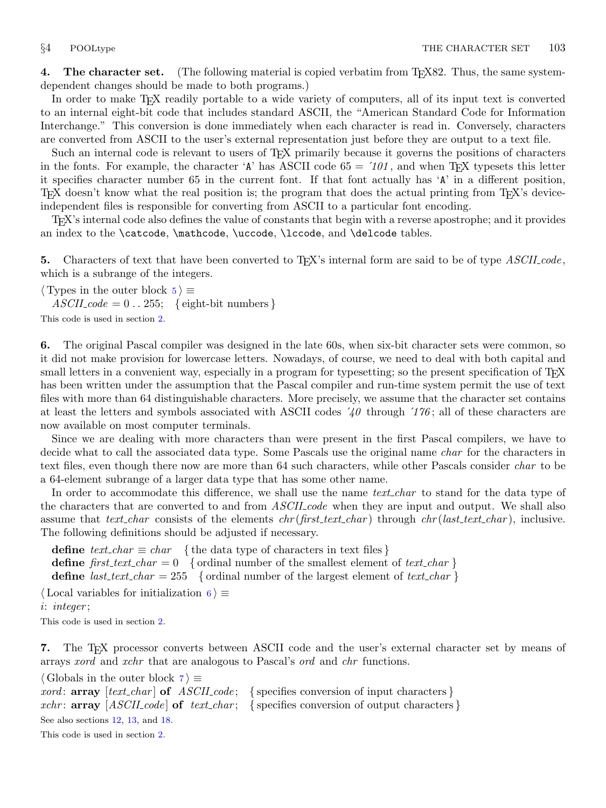<span id="page-2-0"></span>4. The character set. (The following material is copied verbatim from T<sub>E</sub>X82. Thus, the same systemdependent changes should be made to both programs.)

In order to make TEX readily portable to a wide variety of computers, all of its input text is converted to an internal eight-bit code that includes standard ASCII, the "American Standard Code for Information Interchange." This conversion is done immediately when each character is read in. Conversely, characters are converted from ASCII to the user's external representation just before they are output to a text file.

Such an internal code is relevant to users of TEX primarily because it governs the positions of characters in the fonts. For example, the character 'A' has ASCII code  $65 = 101$ , and when T<sub>E</sub>X typesets this letter it specifies character number 65 in the current font. If that font actually has 'A' in a different position, T<sub>EX</sub> doesn't know what the real position is; the program that does the actual printing from  $T_F X$ 's deviceindependent files is responsible for converting from ASCII to a particular font encoding.

TEX's internal code also defines the value of constants that begin with a reverse apostrophe; and it provides an index to the \catcode, \mathcode, \uccode, \lccode, and \delcode tables.

5. Characters of text that have been converted to T<sub>E</sub>X's internal form are said to be of type  $ASCH\_{code}$ , which is a subrange of the integers.

 $\langle$  Types in the outer block 5  $\rangle \equiv$ 

 $ASCII\_code = 0$ ... 255; { eight-bit numbers }

This code is used in section [2](#page-1-0).

6. The original Pascal compiler was designed in the late 60s, when six-bit character sets were common, so it did not make provision for lowercase letters. Nowadays, of course, we need to deal with both capital and small letters in a convenient way, especially in a program for typesetting; so the present specification of T<sub>E</sub>X has been written under the assumption that the Pascal compiler and run-time system permit the use of text files with more than 64 distinguishable characters. More precisely, we assume that the character set contains at least the letters and symbols associated with ASCII codes  $\angle 40$  through  $\angle 176$ ; all of these characters are now available on most computer terminals.

Since we are dealing with more characters than were present in the first Pascal compilers, we have to decide what to call the associated data type. Some Pascals use the original name *char* for the characters in text files, even though there now are more than 64 such characters, while other Pascals consider *char* to be a 64-element subrange of a larger data type that has some other name.

In order to accommodate this difference, we shall use the name text-char to stand for the data type of the characters that are converted to and from *ASCII* code when they are input and output. We shall also assume that text char consists of the elements  $chr(first.text \dots char)$  through  $chr(last.text \dots char)$ , inclusive. The following definitions should be adjusted if necessary.

define  $text_{\text{c}.\text{char}} \equiv char$  {the data type of characters in text files } define first text char = 0 { ordinal number of the smallest element of text char } define *last\_text\_char* = 255 { ordinal number of the largest element of *text\_char* }

 $\langle$  Local variables for initialization 6  $\rangle \equiv$ 

i: integer ;

This code is used in section [2](#page-1-0).

7. The TEX processor converts between ASCII code and the user's external character set by means of arrays xord and xchr that are analogous to Pascal's ord and chr functions.

```
\langle Globals in the outer block \langle 7 \rangle \equivxord: array [text{\n<i>char</i>] of <i>ASCII</i> <i>code</i>; {species conversion of input characters}xchr: array [ASCII_code] of text char; { specifies conversion of output characters }
See also sections 12, 13, and 18.
This code is used in section 2.
```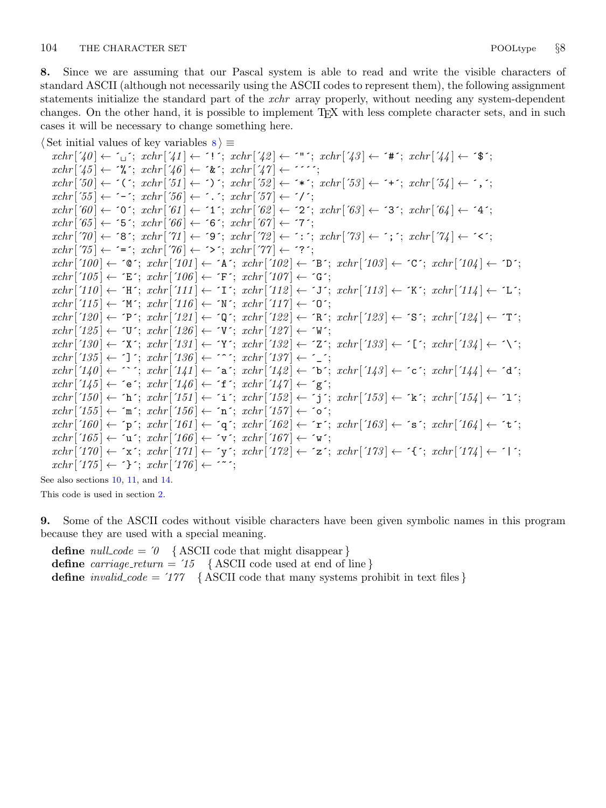<span id="page-3-0"></span>8. Since we are assuming that our Pascal system is able to read and write the visible characters of standard ASCII (although not necessarily using the ASCII codes to represent them), the following assignment statements initialize the standard part of the *xchr* array properly, without needing any system-dependent changes. On the other hand, it is possible to implement T<sub>E</sub>X with less complete character sets, and in such cases it will be necessary to change something here.

```
\langle Set initial values of key variables \langle i ≡
```
 $xchr\left[\left(40\right] \leftarrow \left[1\right]; xchr\left[\left(41\right] \leftarrow \left[1\right]; xchr\left[\left(42\right] \leftarrow \left[1\right]; xchr\left[\left(43\right] \leftarrow \left[4\right]; xchr\left[\left(44\right] \leftarrow \left[3\right]; xchr\left[\left[44\right] \leftarrow \left[3\right]; xchr\left[\left[44\right] \leftarrow \left[3\right]; xchr\left[\left[44\right] \leftarrow \left[3\right]; xchr\left[\left[44\right] \leftarrow \left[3\right]; xchr\left[\left[44\right] \leftarrow \left[3\right];$  $xchr['45] \leftarrow \text{``\&$~; xchr['46] \leftarrow \text{``\&$~; xchr['47] \leftarrow \text{''''};}$  $xchr[50] \leftarrow \checkmark$ ;  $xchr[51] \leftarrow \checkmark$ ;  $xchr[52] \leftarrow \checkmark$ ;  $xchr[53] \leftarrow \checkmark$ ;  $xchr[54] \leftarrow \checkmark$ ;  $xchr['55] \leftarrow -$ ;  $xchr['56] \leftarrow -$ ;  $xchr['57] \leftarrow '$  $xchr[60] \leftarrow$  '0';  $xchr[61] \leftarrow$  '1';  $xchr[62] \leftarrow$  '2';  $xchr[63] \leftarrow$  '3';  $xchr[64] \leftarrow$  '4';  $xchr['65] \leftarrow '5'; xchr['66] \leftarrow '6'; xchr['67] \leftarrow '7';$  $xchr[70] \leftarrow$  '8';  $xchr[71] \leftarrow$  '9';  $xchr[72] \leftarrow$  ':';  $xchr[73] \leftarrow$ '; ';  $xchr[74] \leftarrow$ '<';  $xchr['75] \leftarrow \equiv$ ;  $xchr['76] \leftarrow \sim$ ;  $xchr['77] \leftarrow \sim$ ?;  $xchr['100] \leftarrow$   $\infty$ ;  $xchr['101] \leftarrow$   $\infty$ ;  $xchr['102] \leftarrow \infty$ ;  $xchr['103] \leftarrow \infty$ ;  $xchr['104] \leftarrow \infty$ ;  $xchr['105] \leftarrow \text{`E'}; xchr['106] \leftarrow \text{`F'}; xchr['107] \leftarrow \text{`G'};$  $xchr['110] \leftarrow \text{`H'}; xchr['111] \leftarrow \text{`I'}; xchr['112] \leftarrow \text{`J'}; xchr['113] \leftarrow \text{`K'}; xchr['114] \leftarrow \text{`L'};$  $xchr['115] \leftarrow \gamma' xchr['116] \leftarrow \gamma' xchr['117] \leftarrow \gamma'$ ;  $xchr[120] \leftarrow \text{`P'}; xchr[121] \leftarrow \text{`Q'}; xchr[122] \leftarrow \text{`R'}; xchr[123] \leftarrow \text{`S'}; xchr[124] \leftarrow \text{`T'};$  $xchr['125] \leftarrow \text{`U'}$ ;  $xchr['126] \leftarrow \text{`V'}$ ;  $xchr['127] \leftarrow \text{`W'}$ ;  $xchr['130] \leftarrow \text{`X'}; xchr['131] \leftarrow \text{`Y'}; xchr['132] \leftarrow \text{`Z'}; xchr['133] \leftarrow \text{`[}'; xchr['134] \leftarrow \text{`Y'};$  $xchr['135] \leftarrow$   $\cdot$ ]  $\cdot$ ;  $xchr['136] \leftarrow \cdot\cdot\cdot$ ;  $xchr['137] \leftarrow \cdot\cdot\cdot$ ;  $xchr[140] \leftarrow \cap$ ;  $xchr[141] \leftarrow$   $a$ ;  $xchr[142] \leftarrow b$ ;  $xchr[143] \leftarrow c$ ;  $xchr[144] \leftarrow a$ ;  $xchr['145] \leftarrow$  ´e´;  $xchr['146] \leftarrow$  ´f´;  $xchr['147] \leftarrow$  ´g´;  $xchr['150] \leftarrow \text{`h'}; xchr['151] \leftarrow \text{`i'}; xchr['152] \leftarrow \text{`j'}; xchr['153] \leftarrow \text{`k'}; xchr['154] \leftarrow \text{`1'};$  $xchr['155] \leftarrow \text{`m`; } xchr['156] \leftarrow \text{`n`; } xchr['157] \leftarrow \text{`o`;}$  $xchr['160] \leftarrow \text{`p'}; xchr['161] \leftarrow \text{`q'}; xchr['162] \leftarrow \text{`r'}; xchr['163] \leftarrow \text{`s'}; xchr['164] \leftarrow \text{`t'};$  $xchr['165] \leftarrow \text{`u'}; xchr['166] \leftarrow \text{`v'}; xchr['167] \leftarrow \text{`w'};$  $xchr['170] \leftarrow x$ ;  $xchr['171] \leftarrow y$ ;  $xchr['172] \leftarrow z$ ;  $xchr['173] \leftarrow \{x; xchr['174] \leftarrow 1$ ;  $xchr['175] \leftarrow {\text{`}$}$ ;  $xchr['176] \leftarrow {\text{`}$}$ ;

See also sections [10](#page-4-0), [11,](#page-4-0) and [14.](#page-5-0)

This code is used in section [2](#page-1-0).

9. Some of the ASCII codes without visible characters have been given symbolic names in this program because they are used with a special meaning.

define  $null\_code = 0$  {ASCII code that might disappear} define carriage\_return =  $'15$  {ASCII code used at end of line} define *invalid\_code* =  $'177$  {ASCII code that many systems prohibit in text files }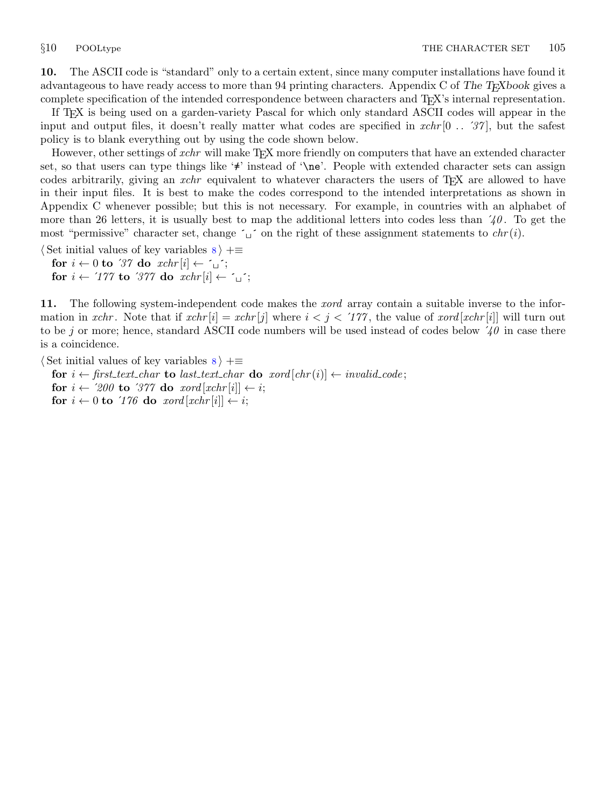<span id="page-4-0"></span>10. The ASCII code is "standard" only to a certain extent, since many computer installations have found it advantageous to have ready access to more than 94 printing characters. Appendix C of The T<sub>E</sub>Xbook gives a complete specification of the intended correspondence between characters and TEX's internal representation.

If TEX is being used on a garden-variety Pascal for which only standard ASCII codes will appear in the input and output files, it doesn't really matter what codes are specified in  $xchr[0 \dots 37]$ , but the safest policy is to blank everything out by using the code shown below.

However, other settings of *xchr* will make T<sub>E</sub>X more friendly on computers that have an extended character set, so that users can type things like '≠' instead of '\ne'. People with extended character sets can assign codes arbitrarily, giving an *xchr* equivalent to whatever characters the users of T<sub>E</sub>X are allowed to have in their input files. It is best to make the codes correspond to the intended interpretations as shown in Appendix C whenever possible; but this is not necessary. For example, in countries with an alphabet of more than 26 letters, it is usually best to map the additional letters into codes less than  $40$ . To get the most "permissive" character set, change  $\sim \text{I}$ " on the right of these assignment statements to  $chr(i)$ .

 $\langle$  Set initial values of key variables [8](#page-3-0)  $\rangle$  +≡ for  $i \leftarrow 0$  to '37 do  $xchr[i] \leftarrow \sim$ ' for  $i \leftarrow 777$  to  $377$  do  $xchr[i] \leftarrow \gamma$ ;

11. The following system-independent code makes the *xord* array contain a suitable inverse to the information in xchr. Note that if  $xchr[i] = xchr[j]$  where  $i < j < 177$ , the value of  $xord[xchr[i]]$  will turn out to be j or more; hence, standard ASCII code numbers will be used instead of codes below  $\angle 40$  in case there is a coincidence.

 $\langle$  Set initial values of key variables  $\langle$   $\rangle$  + $\equiv$ 

for  $i \leftarrow$  first\_text\_char to last\_text\_char do xord  $[chr(i)] \leftarrow invalid\_code;$ for  $i \leftarrow 200$  to 377 do  $xord[xchr[i]] \leftarrow i;$ for  $i \leftarrow 0$  to  $\text{'}176$  do  $\text{ } x \text{ } ord} [x \text{ } chr [i]] \leftarrow i;$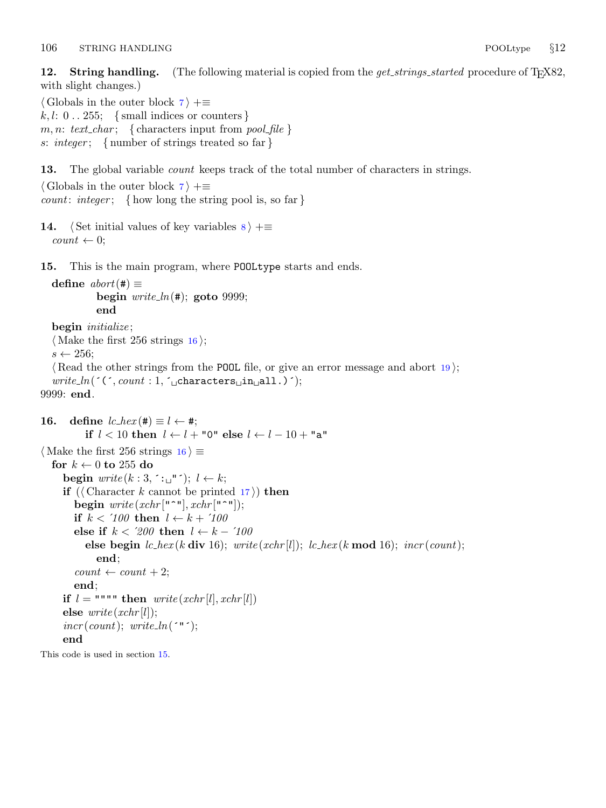<span id="page-5-0"></span>12. String handling. (The following material is copied from the *get\_strings\_started* procedure of T<sub>F</sub>X82, with slight changes.)

 $\langle$  Globals in the outer block [7](#page-2-0)  $\rangle$  +≡  $k, l: 0 \ldots 255; \{ small indices or counters \}$ m, n: text\_char; { characters input from pool\_file } s: integer; { number of strings treated so far }

13. The global variable *count* keeps track of the total number of characters in strings.

 $\langle$  Globals in the outer block  $\langle$  [7](#page-2-0)  $\rangle$  += *count: integer*; { how long the string pool is, so far }

```
14. \langle Set initial values of key variables 8 \rangle + \equivcount \leftarrow 0;
```
15. This is the main program, where POOLtype starts and ends.

```
define abort(\#) \equivbegin write\_ln(#); goto 9999;
         end
```

```
begin initialize;
  \langle Make the first 256 strings 16\rangle;
  s \leftarrow 256;
  19);
  write\_ln( (\cdot (\cdot, count: 1, \cdot<sub>u</sub>characters<sub>u</sub>in<sub>u</sub>all.) \cdot);
9999: end.
```

```
16. define lc\_hex (#) \equiv l \leftarrow #;
            if l < 10 then l \leftarrow l + "0" else l \leftarrow l - 10 + "a"
\langle Make the first 256 strings 16 \rangle \equivfor k \leftarrow 0 to 255 do
      begin write (k:3, \tilde{ } \cdot \underline{ } \cdot \underline{ } \cdot \underline{ } \cdot \dot{ } \cdot ; l \leftarrow k;if ((Character k cannot be printed 17)) then
         begin write(xchr["^"], xchr["^");
         if k < 100 then l \leftarrow k + 100else if k < 200 then l \leftarrow k - 100else begin lc\_hex(k \text{ div } 16); write (xchr[l]); lc\_hex(k \text{ mod } 16); incr(count);end;
         count \leftarrow count + 2;end;
      if l = """" then write(xchr[l], xchr[l])else write(xchr[l]);\textit{incr}(count); \textit{write\_ln}(\text{``"~)};end
This code is used in section 15.
```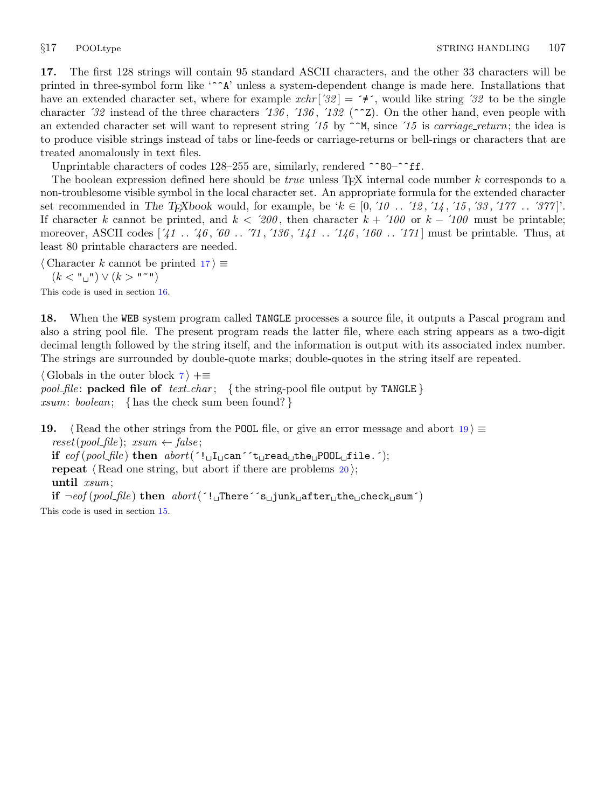<span id="page-6-0"></span>17. The first 128 strings will contain 95 standard ASCII characters, and the other 33 characters will be printed in three-symbol form like '^^A' unless a system-dependent change is made here. Installations that have an extended character set, where for example  $xchr'[32] = \mathbf{1} \cdot \mathbf{1}$ , would like string  $32$  to be the single character '32 instead of the three characters '136, '136, '132 ( $\sim$ Z). On the other hand, even people with an extended character set will want to represent string  $'15$  by  $\gamma^M$ , since  $'15$  is *carriage\_return*; the idea is to produce visible strings instead of tabs or line-feeds or carriage-returns or bell-rings or characters that are treated anomalously in text files.

Unprintable characters of codes  $128-255$  are, similarly, rendered  $\sim 80-\sim f$ ff.

The boolean expression defined here should be  $true$  unless T<sub>E</sub>X internal code number  $k$  corresponds to a non-troublesome visible symbol in the local character set. An appropriate formula for the extended character set recommended in The T<sub>E</sub>Xbook would, for example, be ' $k \in [0, 10, 12, 14, 15, 33, 177, \ldots, 377]$ '. If character k cannot be printed, and  $k < 200$ , then character  $k + 100$  or  $k - 100$  must be printable; moreover, ASCII codes [´41 . . ´46 , ´60 . . ´71 , ´136 , ´141 . . ´146 , ´160 . . ´171 ] must be printable. Thus, at least 80 printable characters are needed.

 $\langle$  Character k cannot be printed 17 $\rangle \equiv$ 

 $(k < "u$ <sup>"</sup>)  $\vee (k > "u$ "

This code is used in section [16](#page-5-0).

18. When the WEB system program called TANGLE processes a source file, it outputs a Pascal program and also a string pool file. The present program reads the latter file, where each string appears as a two-digit decimal length followed by the string itself, and the information is output with its associated index number. The strings are surrounded by double-quote marks; double-quotes in the string itself are repeated.

 $\langle$  Globals in the outer block  $\langle$  [7](#page-2-0)  $\rangle$  +=

pool file: packed file of text char; { the string-pool file output by TANGLE} xsum: boolean; { has the check sum been found?}

19. {Read the other strings from the POOL file, or give an error message and abort  $19$   $\equiv$  $reset(pool_{\text{file}}); \ xsum \leftarrow false;$ if  $eof (pool_{\text{file}})$  then  $abort('!_{\sqcup}\text{I}_{\sqcup}can 't_{\sqcup}read_{\sqcup}the_{\sqcup}POL_{\sqcup}file.$ ; repeat  $\langle$  Read one string, but abort if there are problems [20](#page-7-0) $\rangle$ ; until xsum; if  $\neg\text{cof}(\text{pool}\_\text{file})$  then  $\text{abort}(\ulcorner !\text{`There} \urcorner s\text{`junk}\_\text{affter}\_\text{the} \text{check}\_\text{isum} \urcorner)$ 

This code is used in section [15](#page-5-0).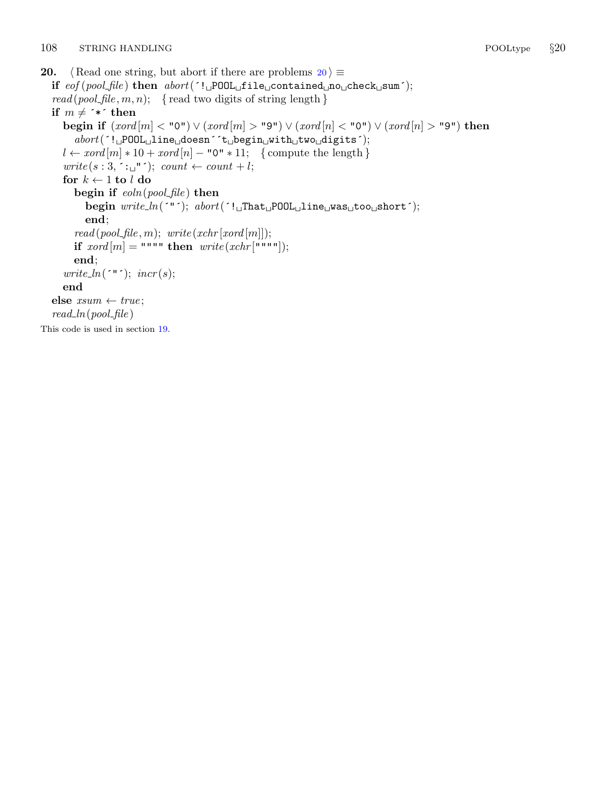```
20. \langle Read one string, but abort if there are problems 20 \rangle \equivif eof (pool_file) then abort('! \_P00L \_file \_contained \_no \_check \_new;
   read (pool_{\text{file}}, m, n); {read two digits of string length }
  if m \neq <sup>*</sup>*´ then
     begin if (xord[m] < "0") \vee (xord[m] > "9") \vee (xord[n] < "0") \vee (xord[n] > "9") then
        abort('!<sub>U</sub>POOL<sub>U</sub>line<sub>U</sub>doesn´<sup>'</sup>t
Ubegin
Uwith
Utwo
Udigits<sup>'</sup>);
     l \leftarrow x \text{ord}[m] * 10 + x \text{ord}[n] - "0" * 11; \text{ {compute the length }}write(s: 3, \frown: \sqcup " \frown); count \leftarrow count + l;for k \leftarrow 1 to l do
        begin if \epsilonoln(pool_file) then
           begin write ln('"); abort('! That POOL line was too short');
           end;
        read (pool_{\text{file}}, m); \ write (xchr[xord[m]]);if xord[m] = """" then write(xchr["""");
        end;
     write_ln(\zeta"\zeta); incr(s);
     end
  else xsum \leftarrow true;read\_ln(pool\_file)This code is used in section 19.
```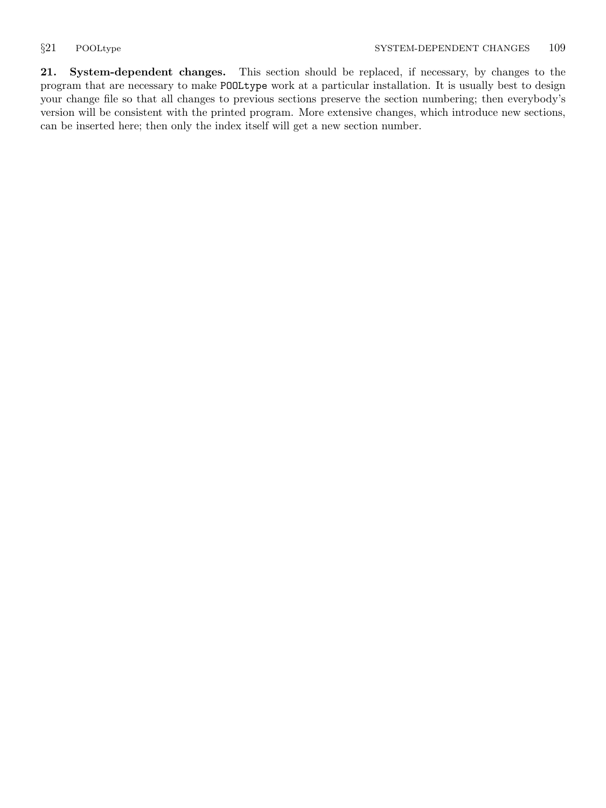<span id="page-8-0"></span>21. System-dependent changes. This section should be replaced, if necessary, by changes to the program that are necessary to make POOLtype work at a particular installation. It is usually best to design your change file so that all changes to previous sections preserve the section numbering; then everybody's version will be consistent with the printed program. More extensive changes, which introduce new sections, can be inserted here; then only the index itself will get a new section number.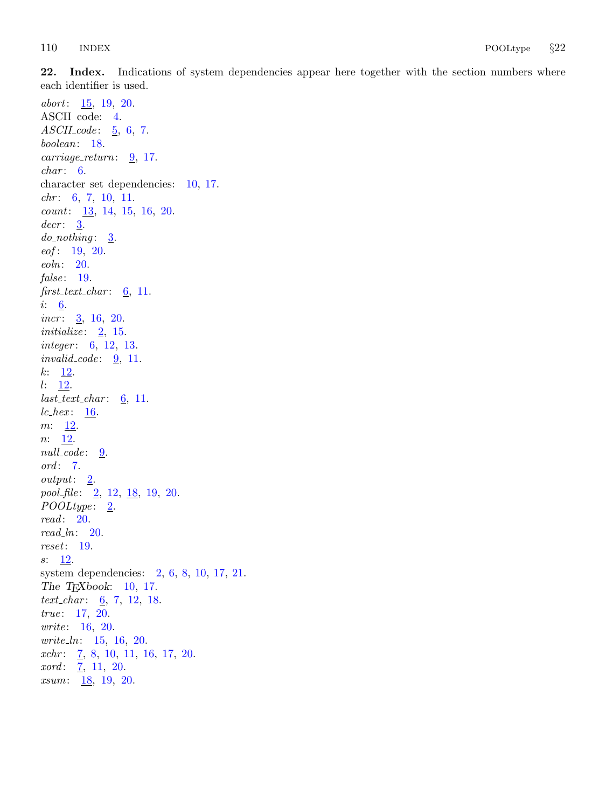<span id="page-9-0"></span>22. Index. Indications of system dependencies appear here together with the section numbers where each identifier is used.

abort: [15,](#page-5-0) [19,](#page-6-0) [20.](#page-7-0) ASCII code: [4.](#page-2-0)  $ASCII\_code: 5, 6, 7.$  $ASCII\_code: 5, 6, 7.$  $ASCII\_code: 5, 6, 7.$  $ASCII\_code: 5, 6, 7.$  $ASCII\_code: 5, 6, 7.$  $ASCII\_code: 5, 6, 7.$  $ASCII\_code: 5, 6, 7.$ boolean: [18](#page-6-0).  $carriage\_return: 9, 17.$  $carriage\_return: 9, 17.$  $carriage\_return: 9, 17.$  $carriage\_return: 9, 17.$  $char: 6.$  $char: 6.$  $char: 6.$ character set dependencies: [10,](#page-4-0) [17.](#page-6-0)  $chr: 6, 7, 10, 11.$  $chr: 6, 7, 10, 11.$  $chr: 6, 7, 10, 11.$  $chr: 6, 7, 10, 11.$  $chr: 6, 7, 10, 11.$  $chr: 6, 7, 10, 11.$  $chr: 6, 7, 10, 11.$  $chr: 6, 7, 10, 11.$ count: [13,](#page-5-0) [14,](#page-5-0) [15](#page-5-0), [16,](#page-5-0) [20](#page-7-0).  $decr: \underline{3}.$  $decr: \underline{3}.$  $decr: \underline{3}.$  $do\_nothing$ :  $\underline{3}$  $\underline{3}$  $\underline{3}$ .  $eof: 19, 20.$  $eof: 19, 20.$  $eof: 19, 20.$  $eof: 19, 20.$ eoln: [20](#page-7-0). false:  $19$ .  $first\_text\_char: 6, 11.$  $first\_text\_char: 6, 11.$  $first\_text\_char: 6, 11.$  $first\_text\_char: 6, 11.$  $first\_text\_char: 6, 11.$  $i: \underline{6}.$  $i: \underline{6}.$  $i: \underline{6}.$ incr:  $\frac{3}{16}$ , [16,](#page-5-0) [20.](#page-7-0) initialize:  $2, 15$  $2, 15$  $2, 15$ . *integer*: [6,](#page-2-0) [12,](#page-5-0) [13](#page-5-0).  $invalid\_code: 9, 11.$  $invalid\_code: 9, 11.$  $invalid\_code: 9, 11.$  $invalid\_code: 9, 11.$  $k: \frac{12}{3}$  $k: \frac{12}{3}$  $k: \frac{12}{3}$ .  $l: \underline{12}$ .  $last\_text\_char: 6, 11.$  $last\_text\_char: 6, 11.$  $last\_text\_char: 6, 11.$  $last\_text\_char: 6, 11.$  $last\_text\_char: 6, 11.$  $lc\_hex:$  [16](#page-5-0).  $m: \underline{12}$  $m: \underline{12}$  $m: \underline{12}$ .  $n: \underline{12}$ .  $null\_code: \underline{9}.$ ord: [7](#page-2-0). output: [2.](#page-1-0) pool\_file:  $\underline{2}$  $\underline{2}$  $\underline{2}$ , [12,](#page-5-0)  $\underline{18}$ , [19](#page-6-0), [20.](#page-7-0)  $\textit{POOLtype}: \quad \underline{\mathbf{2}}.$ read: [20](#page-7-0).  $read\_ln: 20$ . reset: [19](#page-6-0).  $s: \underline{12}$  $s: \underline{12}$  $s: \underline{12}$ . system dependencies: [2,](#page-1-0) [6,](#page-2-0) [8](#page-3-0), [10,](#page-4-0) [17](#page-6-0), [21.](#page-8-0) The T<sub>E</sub>Xbook: [10](#page-4-0), [17.](#page-6-0) text\_char:  $\underline{6}$ , [7](#page-2-0), [12,](#page-5-0) [18](#page-6-0). true: [17](#page-6-0), [20.](#page-7-0) write: [16,](#page-5-0) [20.](#page-7-0) write ln: [15,](#page-5-0) [16](#page-5-0), [20.](#page-7-0)  $xchr: \underline{7}, 8, 10, 11, 16, 17, 20.$  $xchr: \underline{7}, 8, 10, 11, 16, 17, 20.$  $xchr: \underline{7}, 8, 10, 11, 16, 17, 20.$  $xchr: \underline{7}, 8, 10, 11, 16, 17, 20.$  $xord: \underline{7}, 11, 20.$  $xord: \underline{7}, 11, 20.$  $xord: \underline{7}, 11, 20.$  $xord: \underline{7}, 11, 20.$  $rsum: 18, 19, 20.$  $rsum: 18, 19, 20.$  $rsum: 18, 19, 20.$  $rsum: 18, 19, 20.$  $rsum: 18, 19, 20.$  $rsum: 18, 19, 20.$